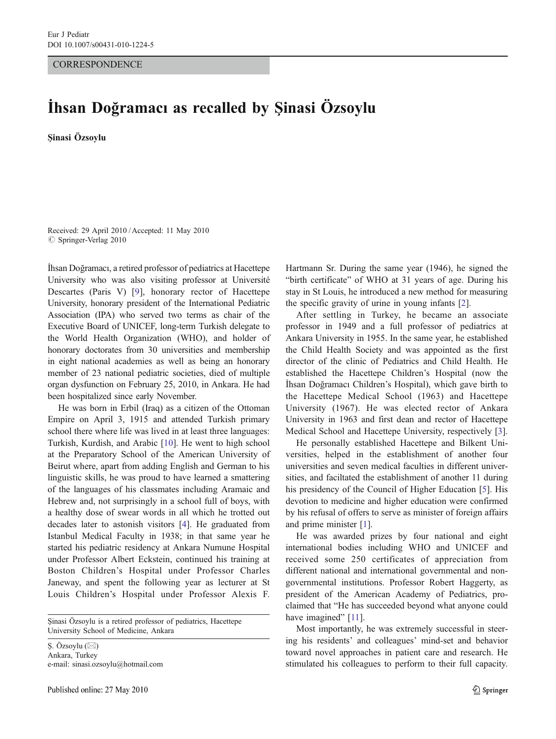## **CORRESPONDENCE**

## İhsan Doğramacı as recalled by Şinasi Özsoylu

Şinasi Özsoylu

Received: 29 April 2010 /Accepted: 11 May 2010  $©$  Springer-Verlag 2010

İhsan Doğramacı, a retired professor of pediatrics at Hacettepe University who was also visiting professor at Université Descartes (Paris V) [[9\]](#page-1-0), honorary rector of Hacettepe University, honorary president of the International Pediatric Association (IPA) who served two terms as chair of the Executive Board of UNICEF, long-term Turkish delegate to the World Health Organization (WHO), and holder of honorary doctorates from 30 universities and membership in eight national academies as well as being an honorary member of 23 national pediatric societies, died of multiple organ dysfunction on February 25, 2010, in Ankara. He had been hospitalized since early November.

He was born in Erbil (Iraq) as a citizen of the Ottoman Empire on April 3, 1915 and attended Turkish primary school there where life was lived in at least three languages: Turkish, Kurdish, and Arabic [[10](#page-1-0)]. He went to high school at the Preparatory School of the American University of Beirut where, apart from adding English and German to his linguistic skills, he was proud to have learned a smattering of the languages of his classmates including Aramaic and Hebrew and, not surprisingly in a school full of boys, with a healthy dose of swear words in all which he trotted out decades later to astonish visitors [[4](#page-1-0)]. He graduated from Istanbul Medical Faculty in 1938; in that same year he started his pediatric residency at Ankara Numune Hospital under Professor Albert Eckstein, continued his training at Boston Children's Hospital under Professor Charles Janeway, and spent the following year as lecturer at St Louis Children's Hospital under Professor Alexis F.

Şinasi Özsoylu is a retired professor of pediatrics, Hacettepe University School of Medicine, Ankara

Ş. Özsoylu (⊠) Ankara, Turkey e-mail: sinasi.ozsoylu@hotmail.com Hartmann Sr. During the same year (1946), he signed the "birth certificate" of WHO at 31 years of age. During his stay in St Louis, he introduced a new method for measuring the specific gravity of urine in young infants [\[2](#page-1-0)].

After settling in Turkey, he became an associate professor in 1949 and a full professor of pediatrics at Ankara University in 1955. In the same year, he established the Child Health Society and was appointed as the first director of the clinic of Pediatrics and Child Health. He established the Hacettepe Children's Hospital (now the İhsan Doğramacı Children's Hospital), which gave birth to the Hacettepe Medical School (1963) and Hacettepe University (1967). He was elected rector of Ankara University in 1963 and first dean and rector of Hacettepe Medical School and Hacettepe University, respectively [[3\]](#page-1-0).

He personally established Hacettepe and Bilkent Universities, helped in the establishment of another four universities and seven medical faculties in different universities, and faciltated the establishment of another 11 during his presidency of the Council of Higher Education [[5\]](#page-1-0). His devotion to medicine and higher education were confirmed by his refusal of offers to serve as minister of foreign affairs and prime minister [[1\]](#page-1-0).

He was awarded prizes by four national and eight international bodies including WHO and UNICEF and received some 250 certificates of appreciation from different national and international governmental and nongovernmental institutions. Professor Robert Haggerty, as president of the American Academy of Pediatrics, proclaimed that "He has succeeded beyond what anyone could have imagined" [[11\]](#page-1-0).

Most importantly, he was extremely successful in steering his residents' and colleagues' mind-set and behavior toward novel approaches in patient care and research. He stimulated his colleagues to perform to their full capacity.